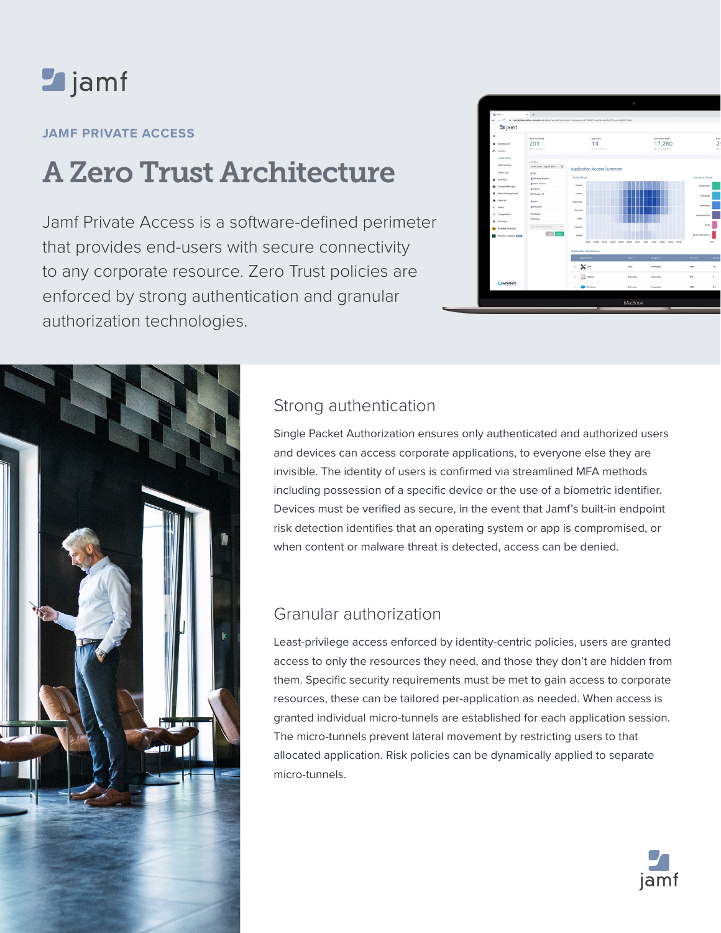# **Legiamf**

### **JAMF PRIVATE ACCESS**

# A Zero Trust Architecture

Jamf Private Access is a software-defined perimeter that provides end-users with secure connectivity to any corporate resource. Zero Trust policies are enforced by strong authentication and granular authorization technologies.





## Strong authentication

Single Packet Authorization ensures only authenticated and authorized users and devices can access corporate applications, to everyone else they are invisible. The identity of users is confirmed via streamlined MFA methods including possession of a specific device or the use of a biometric identifier. Devices must be verified as secure, in the event that Jamf's built-in endpoint risk detection identifies that an operating system or app is compromised, or when content or malware threat is detected, access can be denied.

## Granular authorization

Least-privilege access enforced by identity-centric policies, users are granted access to only the resources they need, and those they don't are hidden from them. Specific security requirements must be met to gain access to corporate resources, these can be tailored per-application as needed. When access is granted individual micro-tunnels are established for each application session. The micro-tunnels prevent lateral movement by restricting users to that allocated application. Risk policies can be dynamically applied to separate micro-tunnels.

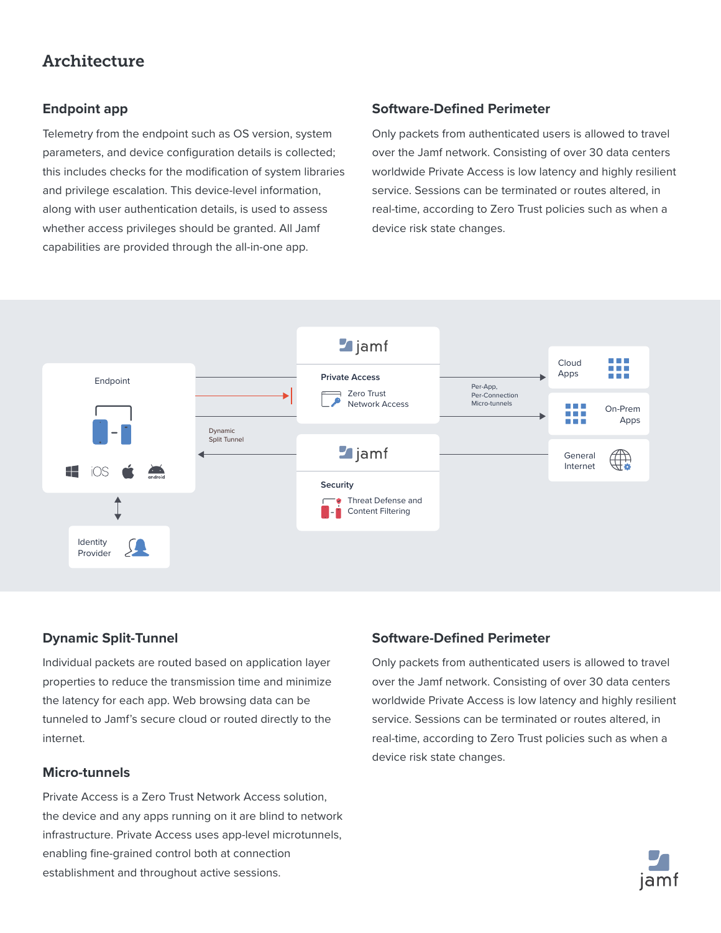## **Architecture**

#### **Endpoint app**

Telemetry from the endpoint such as OS version, system parameters, and device configuration details is collected; this includes checks for the modification of system libraries and privilege escalation. This device-level information, along with user authentication details, is used to assess whether access privileges should be granted. All Jamf capabilities are provided through the all-in-one app.

#### **Software-Defined Perimeter**

Only packets from authenticated users is allowed to travel over the Jamf network. Consisting of over 30 data centers worldwide Private Access is low latency and highly resilient service. Sessions can be terminated or routes altered, in real-time, according to Zero Trust policies such as when a device risk state changes.



#### **Dynamic Split-Tunnel**

Individual packets are routed based on application layer properties to reduce the transmission time and minimize the latency for each app. Web browsing data can be tunneled to Jamf's secure cloud or routed directly to the internet.

#### **Micro-tunnels**

Private Access is a Zero Trust Network Access solution, the device and any apps running on it are blind to network infrastructure. Private Access uses app-level microtunnels, enabling fine-grained control both at connection establishment and throughout active sessions.

#### **Software-Defined Perimeter**

Only packets from authenticated users is allowed to travel over the Jamf network. Consisting of over 30 data centers worldwide Private Access is low latency and highly resilient service. Sessions can be terminated or routes altered, in real-time, according to Zero Trust policies such as when a device risk state changes.

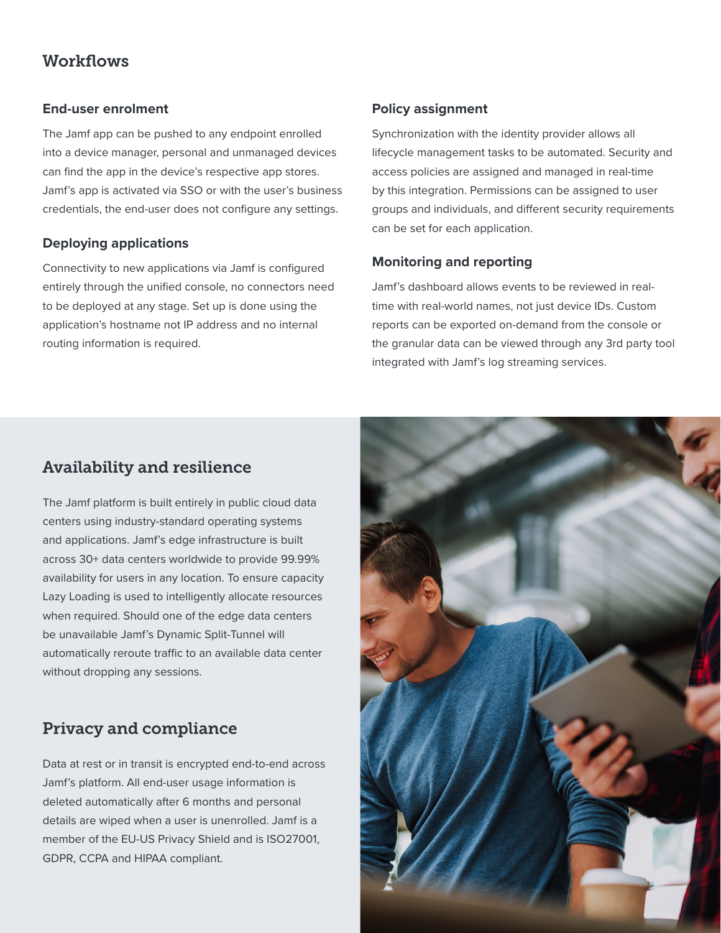## **Workflows**

#### **End-user enrolment**

The Jamf app can be pushed to any endpoint enrolled into a device manager, personal and unmanaged devices can find the app in the device's respective app stores. Jamf's app is activated via SSO or with the user's business credentials, the end-user does not configure any settings.

#### **Deploying applications**

Connectivity to new applications via Jamf is configured entirely through the unified console, no connectors need to be deployed at any stage. Set up is done using the application's hostname not IP address and no internal routing information is required.

#### **Policy assignment**

Synchronization with the identity provider allows all lifecycle management tasks to be automated. Security and access policies are assigned and managed in real-time by this integration. Permissions can be assigned to user groups and individuals, and different security requirements can be set for each application.

#### **Monitoring and reporting**

Jamf's dashboard allows events to be reviewed in realtime with real-world names, not just device IDs. Custom reports can be exported on-demand from the console or the granular data can be viewed through any 3rd party tool integrated with Jamf's log streaming services.

## Availability and resilience

The Jamf platform is built entirely in public cloud data centers using industry-standard operating systems and applications. Jamf's edge infrastructure is built across 30+ data centers worldwide to provide 99.99% availability for users in any location. To ensure capacity Lazy Loading is used to intelligently allocate resources when required. Should one of the edge data centers be unavailable Jamf's Dynamic Split-Tunnel will automatically reroute traffic to an available data center without dropping any sessions.

## Privacy and compliance

Data at rest or in transit is encrypted end-to-end across Jamf's platform. All end-user usage information is deleted automatically after 6 months and personal details are wiped when a user is unenrolled. Jamf is a member of the EU-US Privacy Shield and is ISO27001, GDPR, CCPA and HIPAA compliant.